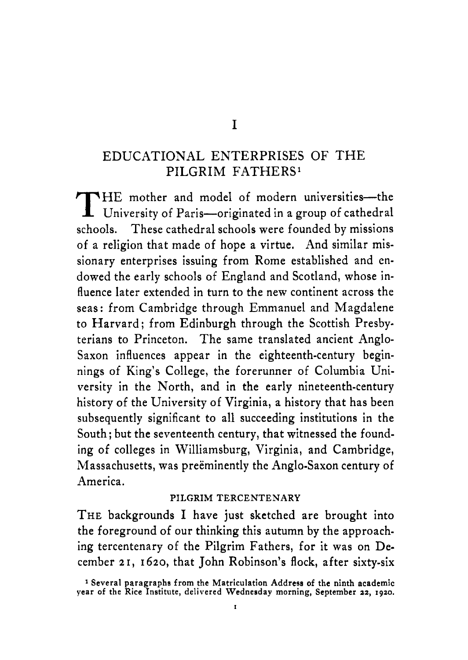### EDUCATIONAL ENTERPRISES OF THE PILGRIM FATHERS'

mother and model of modern universities—th schools. These cathedral schools were founded by missions of a religion that made of hope a virtue. And similar missionary enterprises issuing from Rome established and endowed the early schools of England and Scotland, whose influence later extended in turn to the new continent across the seas: from Cambridge through Emmanuel and Magdalene to Harvard; from Edinburgh through the Scottish Presbyterians to Princeton. The same translated ancient Anglo-Saxon influences appear in the eighteenth-century beginnings of King's College, the forerunner of Columbia University in the North, and in the early nineteenth-century history of the University of Virginia, a history that has been subsequently significant to all succeeding institutions in the South; but the seventeenth century, that witnessed the founding of colleges in Williamsburg, Virginia, and Cambridge, Massachusetts, was preëminently the Anglo-Saxon century of America. THE mother and model of modern universities—the<br>University of Paris—originated in a group of cathedral

#### **PILGRIM** TERCENTENARY

THE backgrounds I have just sketched are brought into the foreground of our thinking this autumn by the approaching tercentenary of the Pilgrim Fathers, for it was on December **2** r, **I** 620, that John Robinson's flock, after sixty-six

**<sup>1</sup>Several paragraphs from the Matriculation Address of the ninth academic year** of **the Rice Institute, delivered Wednesday morning, September 22, 1920.**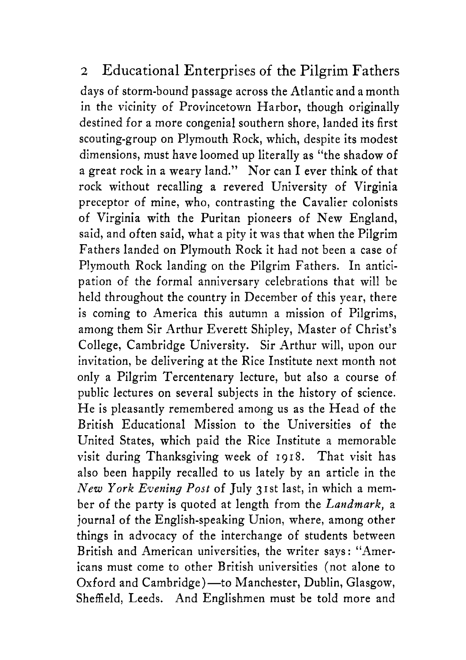# *2* Educational Enterprises of the Pilgrim Fathers

days of storm-bound passage across the Atlantic and a month in the vicinity of Provincetown Harbor, though originally destined for a more congenial southern shore, landed its first scouting-group on Plymouth Rock, which, despite its modest dimensions, must have loomed up literally as "the shadow of a great rock in a weary land." Nor can I ever think of that rock without recalling a revered University of Virginia preceptor of mine, who, contrasting the Cavalier colonists of Virginia with the Puritan pioneers of New England, said, and often said, what a pity it was that when the Pilgrim Fathers landed on Plymouth Rock it had not been a case of Plymouth Rock landing on the Pilgrim Fathers. In anticipation of the formal anniversary celebrations that will be held throughout the country in December of this year, there is coming to America this autumn a mission of Pilgrims, among them Sir Arthur Everett Shipley, Master of Christ's College, Cambridge University. Sir Arthur will, upon our invitation, be delivering at the Rice Institute next month not only a Pilgrim Tercentenary lecture, but also a course of public lectures on several subjects in the history of science. He is pleasantly remembered among us as the Head of the British Educational Mission to the Universities of the United States, which paid the Rice Institute a memorable visit during Thanksgiving week of 1918. That visit has also been happily recalled to us lately by an article in the *New York Evening Post* of July 3 I st last, in which a member of the party is quoted at length from the *Landmark,* a journal of the English-speaking Union, where, among other things in advocacy of the interchange of students between British and American universities, the writer says : "Americans must come to other British universities (not alone to Oxford and Cambridge) — to Manchester, Dublin, Glasgow, Sheffield, Leeds. And Englishmen must be told more and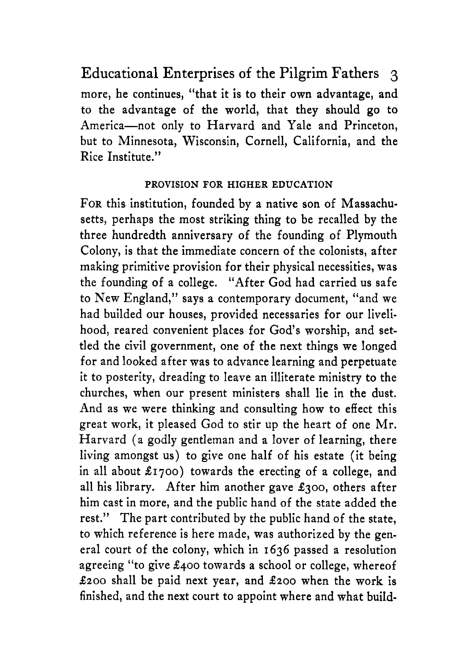Educational Enterprises of the Pilgrim Fathers **3**  more, he continues, "that it is to their own advantage, and to the advantage of the world, that they should go to America-not only to Harvard and Yale and Princeton, but to Minnesota, Wisconsin, Cornell, California, and the Rice Institute."

#### PROVISION FOR HIGHER EDUCATION

**FOR** this institution, founded by a native son of Massachusetts, perhaps the most striking thing to be recalled by the three hundredth anniversary of the founding of Plymouth Colony, is that the immediate concern of the colonists, after making primitive provision for their physical necessities, was the founding of a college. "After God had carried us safe to New England," says a contemporary document, "and we had builded our houses, provided necessaries for our livelihood, reared convenient places for God's worship, and settled the civil government, one of the next things we longed for and looked after was to advance learning and perpetuate it to posterity, dreading to leave an illiterate ministry to the churches, when our present ministers shall lie in the dust. And as we were thinking and consulting how to effect this great work, it pleased God to stir up the heart of one Mr. Harvard (a godly gentleman and a lover of learning, there living amongst us) to give one half of his estate (it being in all about **\$1700)** towards the erecting of a college, and all his library. After him another gave **\$300,** others after him cast in more, and the public hand of the state added the rest." The part contributed by the public hand of the state, to which reference is here made, was authorized by the general court of the colony, which in **1636** passed a resolution agreeing "to give **\$400** towards a school or college, whereof *\$200* shall be paid next year, and *\$200* when the work is finished, and the next court to appoint where and what build-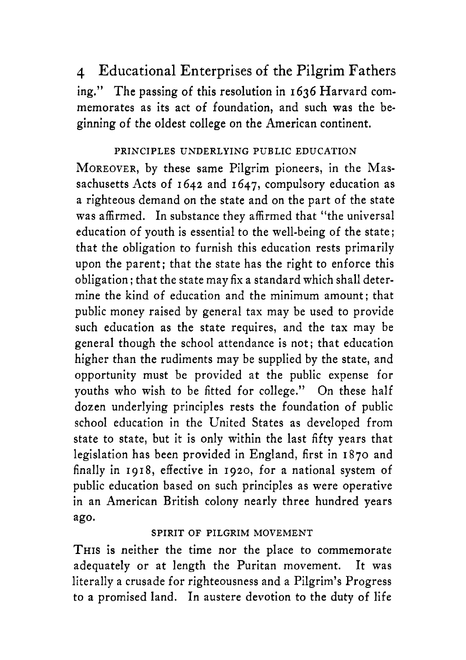4 Educational Enterprises of the Pilgrim Fathers ing." The passing of this resolution in 1636 Harvard commemorates as its act of foundation, and such was the beginning of the oldest college on the American continent.

#### PRINCIPLES UNDERLYING PUBLIC EDUCATION

MOREOVER, by these same Pilgrim pioneers, in the Massachusetts Acts of 1642 and 1647, compulsory education as a righteous demand on the state and on the part of the state was affirmed. In substance they affirmed that "the universal education of youth is essential to the well-being of the state ; that the obligation to furnish this education rests primarily upon the parent; that the state has the right to enforce this obligation; that the state may fix a standard which shall determine the kind of education and the minimum amount; that public money raised by general tax may be used to provide such education as the state requires, and the tax may be general though the school attendance is not; that education higher than the rudiments may be supplied by the state, and opportunity must be provided at the public expense for youths who wish to be fitted for college." On these half dozen underlying principles rests the foundation of public school education in the United States as developed from state to state, but it is only within the last fifty years that legislation has been provided in England, first in 1870 and finally in 1918, effective in 1920, for a national system of public education based on such principles as were operative in an American British colony nearly three hundred years ago.

#### SPIRIT OF PILGRIM MOVEMENT

THIS is neither the time nor the place to commemorate adequately or at length the Puritan movement. It was literally a crusade for righteousness and a Pilgrim's Progress to a promised land. In austere devotion to the duty of life